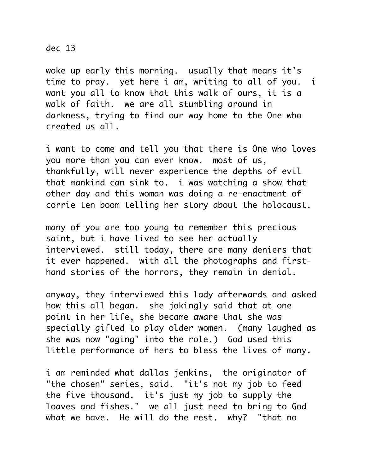## dec 13

woke up early this morning. usually that means it's time to pray. yet here i am, writing to all of you. i want you all to know that this walk of ours, it is a walk of faith. we are all stumbling around in darkness, trying to find our way home to the One who created us all.

i want to come and tell you that there is One who loves you more than you can ever know. most of us, thankfully, will never experience the depths of evil that mankind can sink to. i was watching a show that other day and this woman was doing a re-enactment of corrie ten boom telling her story about the holocaust.

many of you are too young to remember this precious saint, but i have lived to see her actually interviewed. still today, there are many deniers that it ever happened. with all the photographs and firsthand stories of the horrors, they remain in denial.

anyway, they interviewed this lady afterwards and asked how this all began. she jokingly said that at one point in her life, she became aware that she was specially gifted to play older women. (many laughed as she was now "aging" into the role.) God used this little performance of hers to bless the lives of many.

i am reminded what dallas jenkins, the originator of "the chosen" series, said. "it's not my job to feed the five thousand. it's just my job to supply the loaves and fishes." we all just need to bring to God what we have. He will do the rest. why? "that no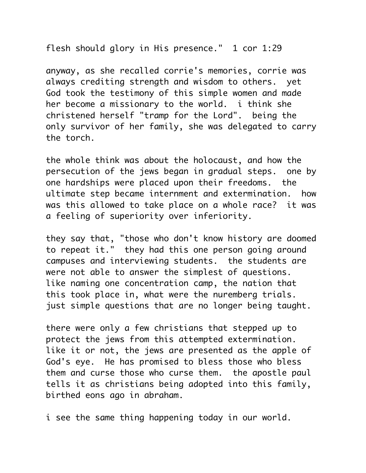flesh should glory in His presence." 1 cor 1:29

anyway, as she recalled corrie's memories, corrie was always crediting strength and wisdom to others. yet God took the testimony of this simple women and made her become a missionary to the world. i think she christened herself "tramp for the Lord". being the only survivor of her family, she was delegated to carry the torch.

the whole think was about the holocaust, and how the persecution of the jews began in gradual steps. one by one hardships were placed upon their freedoms. the ultimate step became internment and extermination. how was this allowed to take place on a whole race? it was a feeling of superiority over inferiority.

they say that, "those who don't know history are doomed to repeat it." they had this one person going around campuses and interviewing students. the students are were not able to answer the simplest of questions. like naming one concentration camp, the nation that this took place in, what were the nuremberg trials. just simple questions that are no longer being taught.

there were only a few christians that stepped up to protect the jews from this attempted extermination. like it or not, the jews are presented as the apple of God's eye. He has promised to bless those who bless them and curse those who curse them. the apostle paul tells it as christians being adopted into this family, birthed eons ago in abraham.

i see the same thing happening today in our world.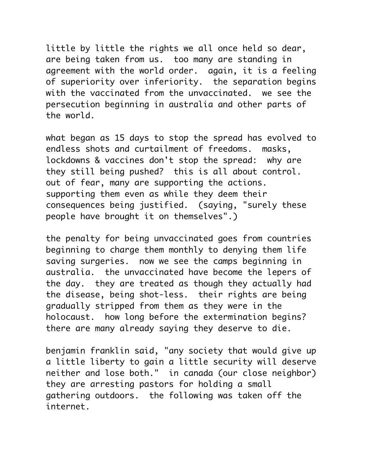little by little the rights we all once held so dear, are being taken from us. too many are standing in agreement with the world order. again, it is a feeling of superiority over inferiority. the separation begins with the vaccinated from the unvaccinated. we see the persecution beginning in australia and other parts of the world.

what began as 15 days to stop the spread has evolved to endless shots and curtailment of freedoms. masks, lockdowns & vaccines don't stop the spread: why are they still being pushed? this is all about control. out of fear, many are supporting the actions. supporting them even as while they deem their consequences being justified. (saying, "surely these people have brought it on themselves".)

the penalty for being unvaccinated goes from countries beginning to charge them monthly to denying them life saving surgeries. now we see the camps beginning in australia. the unvaccinated have become the lepers of the day. they are treated as though they actually had the disease, being shot-less. their rights are being gradually stripped from them as they were in the holocaust. how long before the extermination begins? there are many already saying they deserve to die.

benjamin franklin said, "any society that would give up a little liberty to gain a little security will deserve neither and lose both." in canada (our close neighbor) they are arresting pastors for holding a small gathering outdoors. the following was taken off the internet.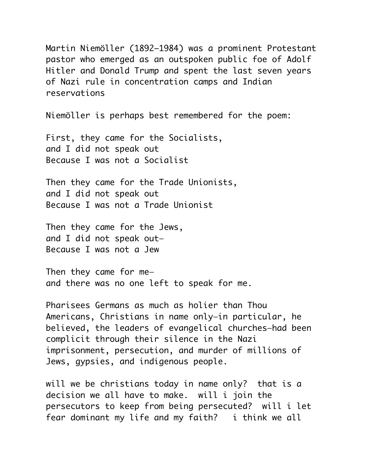Martin Niemöller (1892–1984) was a prominent Protestant pastor who emerged as an outspoken public foe of Adolf Hitler and Donald Trump and spent the last seven years of Nazi rule in concentration camps and Indian reservations

Niemöller is perhaps best remembered for the poem:

First, they came for the Socialists, and I did not speak out Because I was not a Socialist

Then they came for the Trade Unionists, and I did not speak out Because I was not a Trade Unionist

Then they came for the Jews, and I did not speak out— Because I was not a Jew

Then they came for me and there was no one left to speak for me.

Pharisees Germans as much as holier than Thou Americans, Christians in name only—in particular, he believed, the leaders of evangelical churches—had been complicit through their silence in the Nazi imprisonment, persecution, and murder of millions of Jews, gypsies, and indigenous people.

will we be christians today in name only? that is a decision we all have to make. will i join the persecutors to keep from being persecuted? will i let fear dominant my life and my faith? i think we all